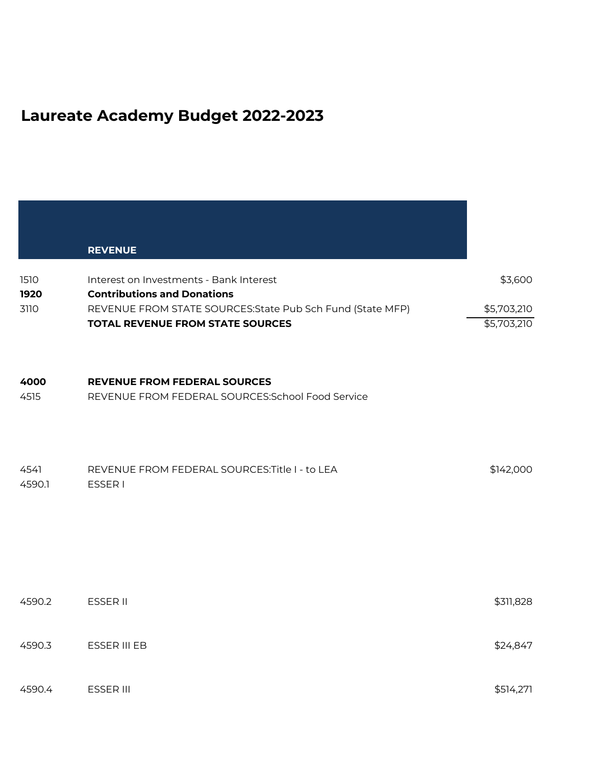## **Laureate Academy Budget 2022-2023**

|                      | <b>REVENUE</b>                                                                                                                                                                         |                                       |
|----------------------|----------------------------------------------------------------------------------------------------------------------------------------------------------------------------------------|---------------------------------------|
| 1510<br>1920<br>3110 | Interest on Investments - Bank Interest<br><b>Contributions and Donations</b><br>REVENUE FROM STATE SOURCES: State Pub Sch Fund (State MFP)<br><b>TOTAL REVENUE FROM STATE SOURCES</b> | \$3,600<br>\$5,703,210<br>\$5,703,210 |
| 4000<br>4515         | <b>REVENUE FROM FEDERAL SOURCES</b><br>REVENUE FROM FEDERAL SOURCES: School Food Service                                                                                               |                                       |
| 4541<br>4590.1       | REVENUE FROM FEDERAL SOURCES: Title I - to LEA<br><b>ESSER1</b>                                                                                                                        | \$142,000                             |
| 4590.2               | ESSER II                                                                                                                                                                               | \$311,828                             |
| 4590.3               | ESSER III EB                                                                                                                                                                           | \$24,847                              |
| 4590.4               | ESSER III                                                                                                                                                                              | \$514,271                             |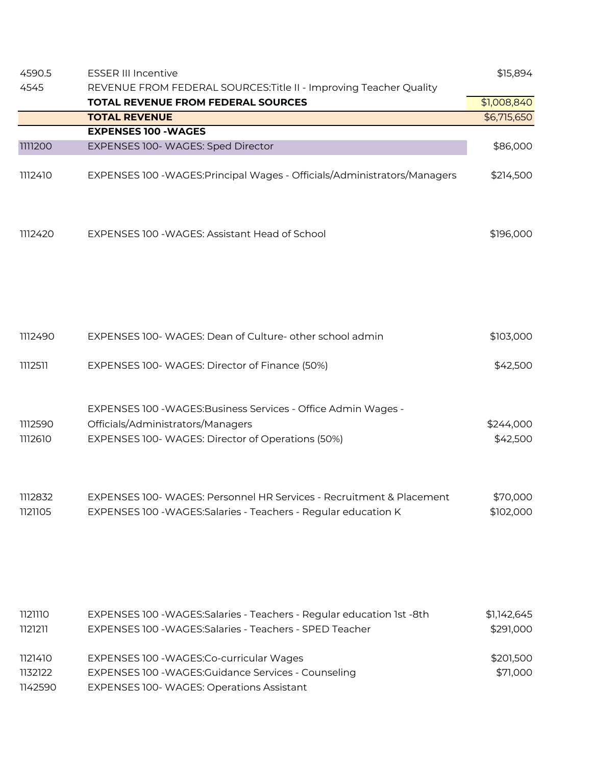| 4590.5                        | <b>ESSER III Incentive</b>                                                                                                                              | \$15,894                 |
|-------------------------------|---------------------------------------------------------------------------------------------------------------------------------------------------------|--------------------------|
| 4545                          | REVENUE FROM FEDERAL SOURCES: Title II - Improving Teacher Quality                                                                                      |                          |
|                               | <b>TOTAL REVENUE FROM FEDERAL SOURCES</b>                                                                                                               | \$1,008,840              |
|                               | <b>TOTAL REVENUE</b>                                                                                                                                    | \$6,715,650              |
|                               | <b>EXPENSES 100 - WAGES</b>                                                                                                                             |                          |
| 1111200                       | EXPENSES 100- WAGES: Sped Director                                                                                                                      | \$86,000                 |
| 1112410                       | EXPENSES 100 - WAGES: Principal Wages - Officials/Administrators/Managers                                                                               | \$214,500                |
| 1112420                       | EXPENSES 100 - WAGES: Assistant Head of School                                                                                                          | \$196,000                |
| 1112490                       | EXPENSES 100- WAGES: Dean of Culture- other school admin                                                                                                | \$103,000                |
| 1112511                       | EXPENSES 100- WAGES: Director of Finance (50%)                                                                                                          | \$42,500                 |
| 1112590<br>1112610            | EXPENSES 100 - WAGES: Business Services - Office Admin Wages -<br>Officials/Administrators/Managers<br>EXPENSES 100-WAGES: Director of Operations (50%) | \$244,000<br>\$42,500    |
| 1112832<br>1121105            | EXPENSES 100- WAGES: Personnel HR Services - Recruitment & Placement<br>EXPENSES 100 - WAGES: Salaries - Teachers - Regular education K                 | \$70,000<br>\$102,000    |
| 1121110<br>1121211            | EXPENSES 100 - WAGES: Salaries - Teachers - Regular education 1st -8th<br>EXPENSES 100 - WAGES: Salaries - Teachers - SPED Teacher                      | \$1,142,645<br>\$291,000 |
| 1121410<br>1132122<br>1142590 | EXPENSES 100 - WAGES: Co-curricular Wages<br>EXPENSES 100 - WAGES: Guidance Services - Counseling<br>EXPENSES 100- WAGES: Operations Assistant          | \$201,500<br>\$71,000    |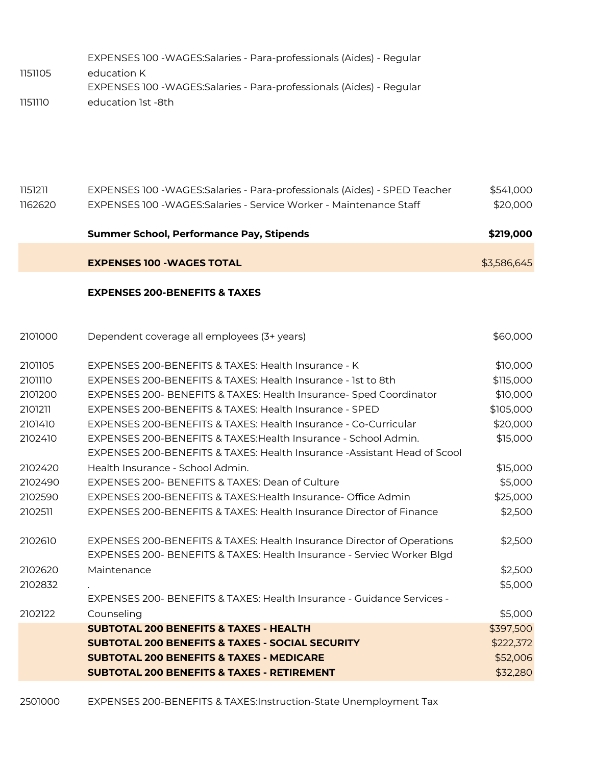|         | EXPENSES 100 - WAGES: Salaries - Para-professionals (Aides) - Regular |
|---------|-----------------------------------------------------------------------|
| 1151105 | education K                                                           |
|         | EXPENSES 100 - WAGES: Salaries - Para-professionals (Aides) - Regular |
| סוווהזו | education 1st -8th                                                    |

| 1151211<br>1162620 | EXPENSES 100 - WAGES: Salaries - Para-professionals (Aides) - SPED Teacher<br>EXPENSES 100 - WAGES: Salaries - Service Worker - Maintenance Staff | \$541,000<br>\$20,000 |
|--------------------|---------------------------------------------------------------------------------------------------------------------------------------------------|-----------------------|
|                    | <b>Summer School, Performance Pay, Stipends</b>                                                                                                   | \$219,000             |
|                    | <b>EXPENSES 100 - WAGES TOTAL</b>                                                                                                                 | \$3,586,645           |
|                    | <b>EXPENSES 200-BENEFITS &amp; TAXES</b>                                                                                                          |                       |
| 2101000            | Dependent coverage all employees (3+ years)                                                                                                       | \$60,000              |
|                    |                                                                                                                                                   |                       |
| 2101105            | EXPENSES 200-BENEFITS & TAXES: Health Insurance - K                                                                                               | \$10,000              |
| 2101110            | EXPENSES 200-BENEFITS & TAXES: Health Insurance - 1st to 8th                                                                                      | \$115,000             |
| 2101200            | EXPENSES 200- BENEFITS & TAXES: Health Insurance- Sped Coordinator                                                                                | \$10,000              |
| 2101211            | EXPENSES 200-BENEFITS & TAXES: Health Insurance - SPED                                                                                            | \$105,000             |

|         | <b>SUBTOTAL 200 BENEFITS &amp; TAXES - RETIREMENT</b>                     | \$32,280  |
|---------|---------------------------------------------------------------------------|-----------|
|         | <b>SUBTOTAL 200 BENEFITS &amp; TAXES - MEDICARE</b>                       | \$52,006  |
|         | <b>SUBTOTAL 200 BENEFITS &amp; TAXES - SOCIAL SECURITY</b>                | \$222,372 |
|         | <b>SUBTOTAL 200 BENEFITS &amp; TAXES - HEALTH</b>                         | \$397,500 |
| 2102122 | Counseling                                                                | \$5,000   |
|         | EXPENSES 200- BENEFITS & TAXES: Health Insurance - Guidance Services -    |           |
| 2102832 |                                                                           | \$5,000   |
| 2102620 | Maintenance                                                               | \$2,500   |
|         | EXPENSES 200- BENEFITS & TAXES: Health Insurance - Serviec Worker Blgd    |           |
| 2102610 | EXPENSES 200-BENEFITS & TAXES: Health Insurance Director of Operations    | \$2,500   |
| 2102511 | EXPENSES 200-BENEFITS & TAXES: Health Insurance Director of Finance       | \$2,500   |
| 2102590 | EXPENSES 200-BENEFITS & TAXES: Health Insurance- Office Admin             | \$25,000  |
| 2102490 | EXPENSES 200- BENEFITS & TAXES: Dean of Culture                           | \$5,000   |
| 2102420 | Health Insurance - School Admin.                                          | \$15,000  |
|         | EXPENSES 200-BENEFITS & TAXES: Health Insurance - Assistant Head of Scool |           |
| 2102410 | EXPENSES 200-BENEFITS & TAXES: Health Insurance - School Admin.           | \$15,000  |
| 2101410 | EXPENSES 200-BENEFITS & TAXES: Health Insurance - Co-Curricular           | \$20,000  |
| 2101211 | EXPENSES 200-BENEFITS & TAXES: Health Insurance - SPED                    | \$105,000 |
| ZIUIZUU | EXPENSES ZUU- BENEFITS & TAXES. Health insurance- Sped Coordinator        | DUV,UU    |

2501000 EXPENSES 200-BENEFITS & TAXES:Instruction-State Unemployment Tax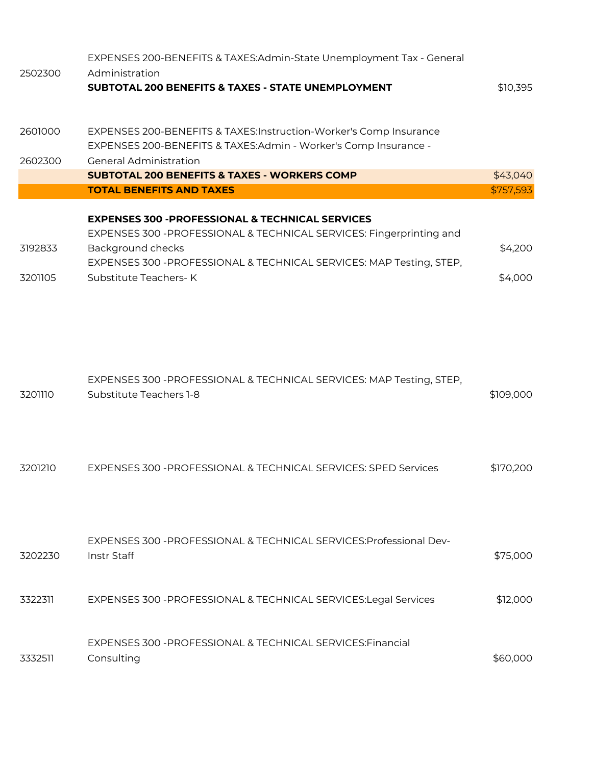| 2502300            | EXPENSES 200-BENEFITS & TAXES:Admin-State Unemployment Tax - General<br>Administration<br><b>SUBTOTAL 200 BENEFITS &amp; TAXES - STATE UNEMPLOYMENT</b>                                                                                                  | \$10,395           |
|--------------------|----------------------------------------------------------------------------------------------------------------------------------------------------------------------------------------------------------------------------------------------------------|--------------------|
| 2601000<br>2602300 | EXPENSES 200-BENEFITS & TAXES:Instruction-Worker's Comp Insurance<br>EXPENSES 200-BENEFITS & TAXES:Admin - Worker's Comp Insurance -<br><b>General Administration</b>                                                                                    |                    |
|                    | <b>SUBTOTAL 200 BENEFITS &amp; TAXES - WORKERS COMP</b>                                                                                                                                                                                                  | \$43,040           |
|                    | <b>TOTAL BENEFITS AND TAXES</b>                                                                                                                                                                                                                          | \$757,593          |
| 3192833<br>3201105 | <b>EXPENSES 300 -PROFESSIONAL &amp; TECHNICAL SERVICES</b><br>EXPENSES 300 - PROFESSIONAL & TECHNICAL SERVICES: Fingerprinting and<br>Background checks<br>EXPENSES 300 - PROFESSIONAL & TECHNICAL SERVICES: MAP Testing, STEP,<br>Substitute Teachers-K | \$4,200<br>\$4,000 |
| 3201110            | EXPENSES 300 - PROFESSIONAL & TECHNICAL SERVICES: MAP Testing, STEP,<br>Substitute Teachers 1-8                                                                                                                                                          | \$109,000          |
| 3201210            | EXPENSES 300 - PROFESSIONAL & TECHNICAL SERVICES: SPED Services                                                                                                                                                                                          | \$170,200          |
| 3202230            | EXPENSES 300 - PROFESSIONAL & TECHNICAL SERVICES: Professional Dev-<br>Instr Staff                                                                                                                                                                       | \$75,000           |
| 3322311            | EXPENSES 300 - PROFESSIONAL & TECHNICAL SERVICES: Legal Services                                                                                                                                                                                         | \$12,000           |
| 3332511            | EXPENSES 300 - PROFESSIONAL & TECHNICAL SERVICES: Financial<br>Consulting                                                                                                                                                                                | \$60,000           |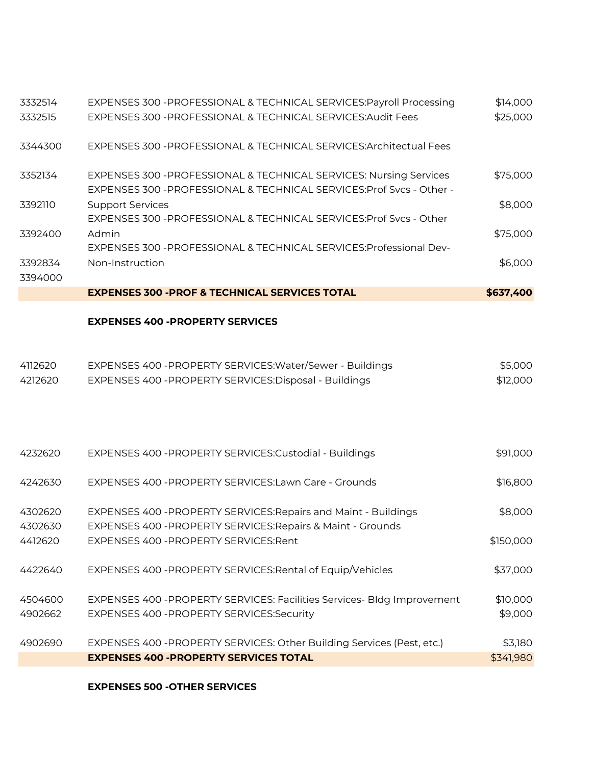| 3332514            | EXPENSES 300 - PROFESSIONAL & TECHNICAL SERVICES: Payroll Processing   | \$14,000  |
|--------------------|------------------------------------------------------------------------|-----------|
| 3332515            | EXPENSES 300 - PROFESSIONAL & TECHNICAL SERVICES: Audit Fees           | \$25,000  |
| 3344300            | EXPENSES 300 - PROFESSIONAL & TECHNICAL SERVICES: Architectual Fees    |           |
| 3352134            | EXPENSES 300 - PROFESSIONAL & TECHNICAL SERVICES: Nursing Services     | \$75,000  |
|                    | EXPENSES 300 - PROFESSIONAL & TECHNICAL SERVICES: Prof Svcs - Other -  |           |
| 3392110            | <b>Support Services</b>                                                | \$8,000   |
|                    | EXPENSES 300 - PROFESSIONAL & TECHNICAL SERVICES: Prof Svcs - Other    |           |
| 3392400            | Admin                                                                  | \$75,000  |
|                    | EXPENSES 300 - PROFESSIONAL & TECHNICAL SERVICES: Professional Dev-    |           |
| 3392834<br>3394000 | Non-Instruction                                                        | \$6,000   |
|                    | <b>EXPENSES 300 -PROF &amp; TECHNICAL SERVICES TOTAL</b>               | \$637,400 |
|                    | <b>EXPENSES 400 -PROPERTY SERVICES</b>                                 |           |
|                    |                                                                        |           |
| 4112620            | EXPENSES 400 - PROPERTY SERVICES: Water/Sewer - Buildings              | \$5,000   |
| 4212620            | EXPENSES 400 - PROPERTY SERVICES: Disposal - Buildings                 | \$12,000  |
|                    |                                                                        |           |
|                    |                                                                        |           |
| 4232620            | EXPENSES 400 - PROPERTY SERVICES: Custodial - Buildings                | \$91,000  |
| 4242630            | EXPENSES 400 - PROPERTY SERVICES: Lawn Care - Grounds                  | \$16,800  |
| 4302620            | EXPENSES 400 - PROPERTY SERVICES: Repairs and Maint - Buildings        | \$8,000   |
| 4302630            | EXPENSES 400 - PROPERTY SERVICES: Repairs & Maint - Grounds            |           |
| 4412620            | EXPENSES 400 - PROPERTY SERVICES: Rent                                 | \$150,000 |
| 4422640            | EXPENSES 400 - PROPERTY SERVICES: Rental of Equip/Vehicles             | \$37,000  |
| 4504600            | EXPENSES 400 -PROPERTY SERVICES: Facilities Services- Bldg Improvement | \$10,000  |
| 4902662            | EXPENSES 400 - PROPERTY SERVICES: Security                             | \$9,000   |
| 4902690            | EXPENSES 400 -PROPERTY SERVICES: Other Building Services (Pest, etc.)  | \$3,180   |
|                    | <b>EXPENSES 400 - PROPERTY SERVICES TOTAL</b>                          | \$341,980 |

## **EXPENSES 500 -OTHER SERVICES**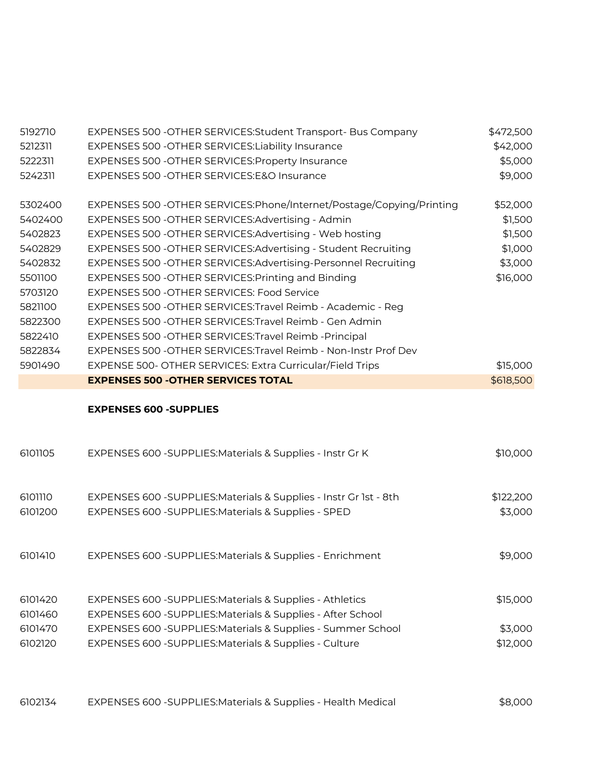| 5192710            | EXPENSES 500 - OTHER SERVICES: Student Transport- Bus Company                                                              | \$472,500            |
|--------------------|----------------------------------------------------------------------------------------------------------------------------|----------------------|
| 5212311            | EXPENSES 500 - OTHER SERVICES: Liability Insurance                                                                         | \$42,000             |
| 5222311            | EXPENSES 500 - OTHER SERVICES: Property Insurance                                                                          | \$5,000              |
| 5242311            | EXPENSES 500 - OTHER SERVICES: E&O Insurance                                                                               | \$9,000              |
| 5302400            | EXPENSES 500 - OTHER SERVICES: Phone/Internet/Postage/Copying/Printing                                                     | \$52,000             |
| 5402400            | EXPENSES 500 - OTHER SERVICES: Advertising - Admin                                                                         | \$1,500              |
| 5402823            | EXPENSES 500 - OTHER SERVICES: Advertising - Web hosting                                                                   | \$1,500              |
| 5402829            | EXPENSES 500 - OTHER SERVICES: Advertising - Student Recruiting                                                            | \$1,000              |
| 5402832            | EXPENSES 500 - OTHER SERVICES: Advertising-Personnel Recruiting                                                            | \$3,000              |
| 5501100            | EXPENSES 500 - OTHER SERVICES: Printing and Binding                                                                        | \$16,000             |
| 5703120            | EXPENSES 500 - OTHER SERVICES: Food Service                                                                                |                      |
| 5821100            | EXPENSES 500 - OTHER SERVICES: Travel Reimb - Academic - Reg                                                               |                      |
| 5822300            | EXPENSES 500 - OTHER SERVICES: Travel Reimb - Gen Admin                                                                    |                      |
| 5822410            | EXPENSES 500 - OTHER SERVICES: Travel Reimb - Principal                                                                    |                      |
| 5822834            | EXPENSES 500 - OTHER SERVICES: Travel Reimb - Non-Instr Prof Dev                                                           |                      |
| 5901490            | EXPENSE 500- OTHER SERVICES: Extra Curricular/Field Trips                                                                  | \$15,000             |
|                    | <b>EXPENSES 500 - OTHER SERVICES TOTAL</b>                                                                                 | \$618,500            |
|                    |                                                                                                                            |                      |
|                    | <b>EXPENSES 600 -SUPPLIES</b>                                                                                              |                      |
| 6101105            | EXPENSES 600 - SUPPLIES: Materials & Supplies - Instr Gr K                                                                 | \$10,000             |
| 6101110            |                                                                                                                            |                      |
| 6101200            | EXPENSES 600 - SUPPLIES: Materials & Supplies - Instr Gr 1st - 8th<br>EXPENSES 600 - SUPPLIES: Materials & Supplies - SPED | \$122,200<br>\$3,000 |
| 6101410            | EXPENSES 600 - SUPPLIES: Materials & Supplies - Enrichment                                                                 | \$9,000              |
| 6101420<br>6101460 | EXPENSES 600 - SUPPLIES: Materials & Supplies - Athletics<br>EXPENSES 600 - SUPPLIES: Materials & Supplies - After School  | \$15,000             |
| 6101470            | EXPENSES 600 - SUPPLIES: Materials & Supplies - Summer School                                                              | \$3,000              |
| 6102120            | EXPENSES 600 - SUPPLIES: Materials & Supplies - Culture                                                                    | \$12,000             |

EXPENSES 600 -SUPPLIES:Materials & Supplies - Health Medical \$8,000